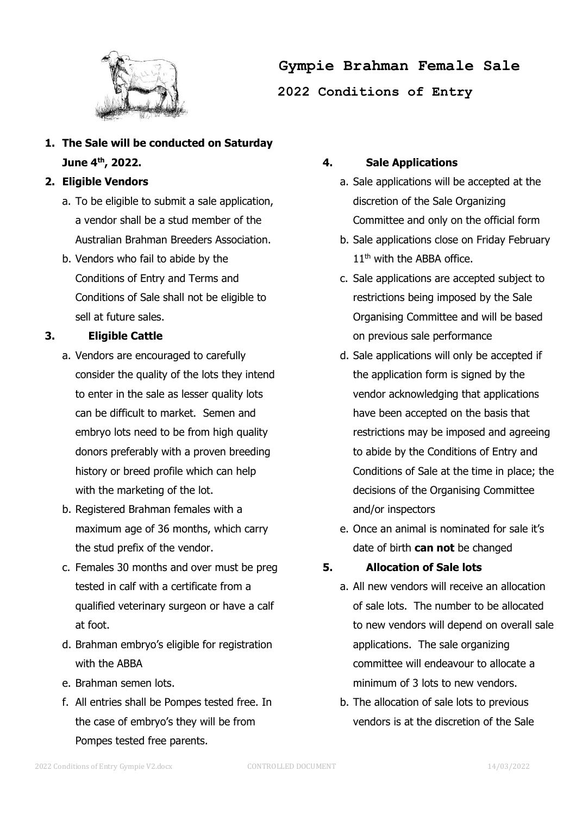

**Gympie Brahman Female Sale**

**2022 Conditions of Entry**

**1. The Sale will be conducted on Saturday June 4 th, 2022.**

## **2. Eligible Vendors**

- a. To be eligible to submit a sale application, a vendor shall be a stud member of the Australian Brahman Breeders Association.
- b. Vendors who fail to abide by the Conditions of Entry and Terms and Conditions of Sale shall not be eligible to sell at future sales.

# **3. Eligible Cattle**

- a. Vendors are encouraged to carefully consider the quality of the lots they intend to enter in the sale as lesser quality lots can be difficult to market. Semen and embryo lots need to be from high quality donors preferably with a proven breeding history or breed profile which can help with the marketing of the lot.
- b. Registered Brahman females with a maximum age of 36 months, which carry the stud prefix of the vendor.
- c. Females 30 months and over must be preg tested in calf with a certificate from a qualified veterinary surgeon or have a calf at foot.
- d. Brahman embryo's eligible for registration with the ABBA
- e. Brahman semen lots.
- f. All entries shall be Pompes tested free. In the case of embryo's they will be from Pompes tested free parents.

## **4. Sale Applications**

- a. Sale applications will be accepted at the discretion of the Sale Organizing Committee and only on the official form
- b. Sale applications close on Friday February 11<sup>th</sup> with the ABBA office.
- c. Sale applications are accepted subject to restrictions being imposed by the Sale Organising Committee and will be based on previous sale performance
- d. Sale applications will only be accepted if the application form is signed by the vendor acknowledging that applications have been accepted on the basis that restrictions may be imposed and agreeing to abide by the Conditions of Entry and Conditions of Sale at the time in place; the decisions of the Organising Committee and/or inspectors
- e. Once an animal is nominated for sale it's date of birth **can not** be changed

## **5. Allocation of Sale lots**

- a. All new vendors will receive an allocation of sale lots. The number to be allocated to new vendors will depend on overall sale applications. The sale organizing committee will endeavour to allocate a minimum of 3 lots to new vendors.
- b. The allocation of sale lots to previous vendors is at the discretion of the Sale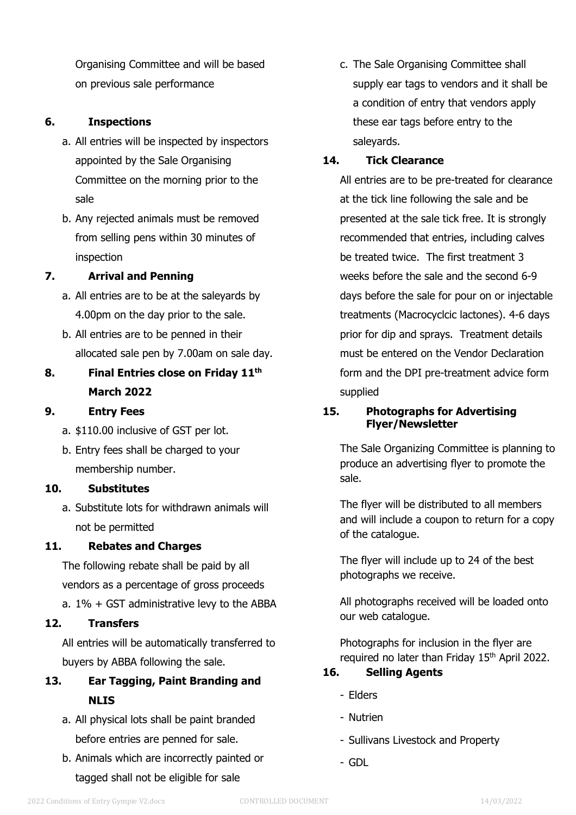Organising Committee and will be based on previous sale performance

## **6. Inspections**

- a. All entries will be inspected by inspectors appointed by the Sale Organising Committee on the morning prior to the sale
- b. Any rejected animals must be removed from selling pens within 30 minutes of inspection

## **7. Arrival and Penning**

- a. All entries are to be at the saleyards by 4.00pm on the day prior to the sale.
- b. All entries are to be penned in their allocated sale pen by 7.00am on sale day.

# **8. Final Entries close on Friday 11 th March 2022**

#### **9. Entry Fees**

- a. \$110.00 inclusive of GST per lot.
- b. Entry fees shall be charged to your membership number.

#### **10. Substitutes**

a. Substitute lots for withdrawn animals will not be permitted

#### **11. Rebates and Charges**

The following rebate shall be paid by all vendors as a percentage of gross proceeds

a. 1% + GST administrative levy to the ABBA

#### **12. Transfers**

All entries will be automatically transferred to buyers by ABBA following the sale.

- **13. Ear Tagging, Paint Branding and NLIS**
	- a. All physical lots shall be paint branded before entries are penned for sale.
	- b. Animals which are incorrectly painted or tagged shall not be eligible for sale

c. The Sale Organising Committee shall supply ear tags to vendors and it shall be a condition of entry that vendors apply these ear tags before entry to the saleyards.

## **14. Tick Clearance**

All entries are to be pre-treated for clearance at the tick line following the sale and be presented at the sale tick free. It is strongly recommended that entries, including calves be treated twice. The first treatment 3 weeks before the sale and the second 6-9 days before the sale for pour on or injectable treatments (Macrocyclcic lactones). 4-6 days prior for dip and sprays. Treatment details must be entered on the Vendor Declaration form and the DPI pre-treatment advice form supplied

## **15. Photographs for Advertising Flyer/Newsletter**

The Sale Organizing Committee is planning to produce an advertising flyer to promote the sale.

The flyer will be distributed to all members and will include a coupon to return for a copy of the catalogue.

The flyer will include up to 24 of the best photographs we receive.

All photographs received will be loaded onto our web catalogue.

Photographs for inclusion in the flyer are required no later than Friday 15<sup>th</sup> April 2022.

# **16. Selling Agents**

- Elders
- Nutrien
- Sullivans Livestock and Property
- GDL